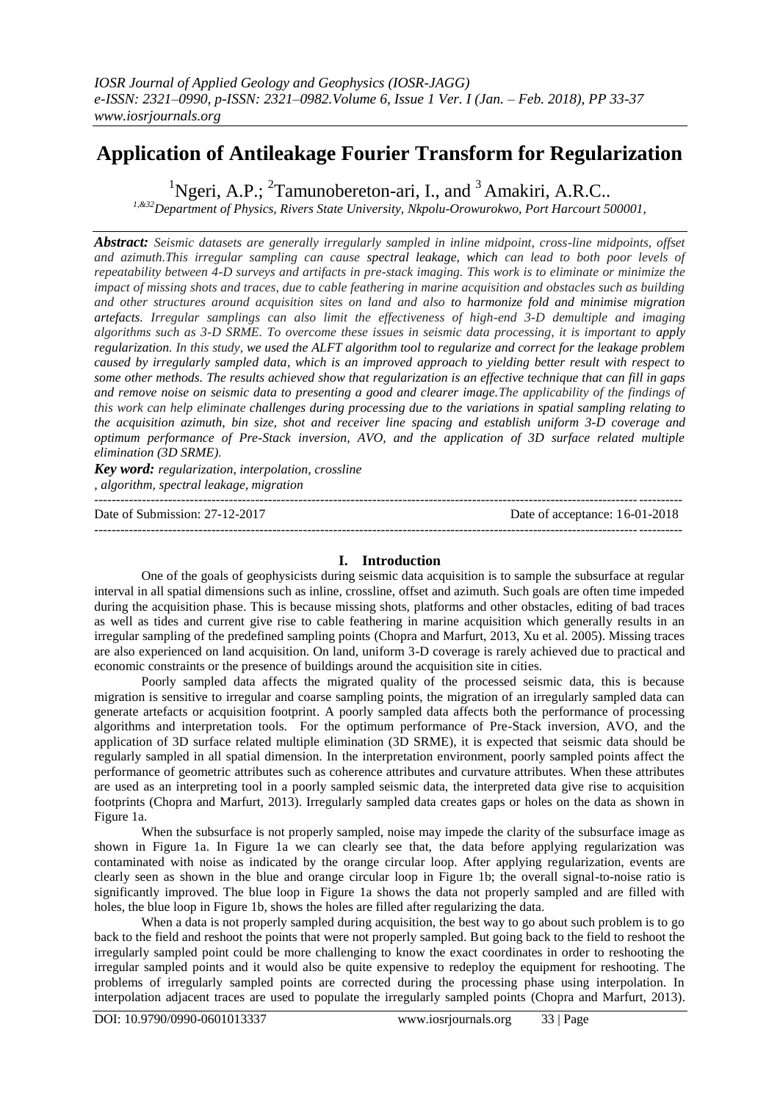# **Application of Antileakage Fourier Transform for Regularization**

<sup>1</sup>Ngeri, A.P.; <sup>2</sup>Tamunobereton-ari, I., and <sup>3</sup> Amakiri, A.R.C..

*1,&32Department of Physics, Rivers State University, Nkpolu-Orowurokwo, Port Harcourt 500001,*

*Abstract: Seismic datasets are generally irregularly sampled in inline midpoint, cross-line midpoints, offset and azimuth.This irregular sampling can cause spectral leakage, which can lead to both poor levels of repeatability between 4-D surveys and artifacts in pre-stack imaging. This work is to eliminate or minimize the impact of missing shots and traces, due to cable feathering in marine acquisition and obstacles such as building and other structures around acquisition sites on land and also to harmonize fold and minimise migration artefacts. Irregular samplings can also limit the effectiveness of high-end 3-D demultiple and imaging algorithms such as 3-D SRME. To overcome these issues in seismic data processing, it is important to apply regularization. In this study, we used the ALFT algorithm tool to regularize and correct for the leakage problem caused by irregularly sampled data, which is an improved approach to yielding better result with respect to some other methods. The results achieved show that regularization is an effective technique that can fill in gaps and remove noise on seismic data to presenting a good and clearer image.The applicability of the findings of this work can help eliminate challenges during processing due to the variations in spatial sampling relating to the acquisition azimuth, bin size, shot and receiver line spacing and establish uniform 3-D coverage and optimum performance of Pre-Stack inversion, AVO, and the application of 3D surface related multiple elimination (3D SRME).* 

*Key word: regularization, interpolation, crossline , algorithm, spectral leakage, migration*

--------------------------------------------------------------------------------------------------------------------------------------- Date of Submission: 27-12-2017 Date of acceptance: 16-01-2018

## **I. Introduction**

---------------------------------------------------------------------------------------------------------------------------------------

One of the goals of geophysicists during seismic data acquisition is to sample the subsurface at regular interval in all spatial dimensions such as inline, crossline, offset and azimuth. Such goals are often time impeded during the acquisition phase. This is because missing shots, platforms and other obstacles, editing of bad traces as well as tides and current give rise to cable feathering in marine acquisition which generally results in an irregular sampling of the predefined sampling points (Chopra and Marfurt, 2013, Xu et al. 2005). Missing traces are also experienced on land acquisition. On land, uniform 3-D coverage is rarely achieved due to practical and economic constraints or the presence of buildings around the acquisition site in cities.

Poorly sampled data affects the migrated quality of the processed seismic data, this is because migration is sensitive to irregular and coarse sampling points, the migration of an irregularly sampled data can generate artefacts or acquisition footprint. A poorly sampled data affects both the performance of processing algorithms and interpretation tools. For the optimum performance of Pre-Stack inversion, AVO, and the application of 3D surface related multiple elimination (3D SRME), it is expected that seismic data should be regularly sampled in all spatial dimension. In the interpretation environment, poorly sampled points affect the performance of geometric attributes such as coherence attributes and curvature attributes. When these attributes are used as an interpreting tool in a poorly sampled seismic data, the interpreted data give rise to acquisition footprints (Chopra and Marfurt, 2013). Irregularly sampled data creates gaps or holes on the data as shown in Figure 1a.

When the subsurface is not properly sampled, noise may impede the clarity of the subsurface image as shown in Figure 1a. In Figure 1a we can clearly see that, the data before applying regularization was contaminated with noise as indicated by the orange circular loop. After applying regularization, events are clearly seen as shown in the blue and orange circular loop in Figure 1b; the overall signal-to-noise ratio is significantly improved. The blue loop in Figure 1a shows the data not properly sampled and are filled with holes, the blue loop in Figure 1b, shows the holes are filled after regularizing the data.

When a data is not properly sampled during acquisition, the best way to go about such problem is to go back to the field and reshoot the points that were not properly sampled. But going back to the field to reshoot the irregularly sampled point could be more challenging to know the exact coordinates in order to reshooting the irregular sampled points and it would also be quite expensive to redeploy the equipment for reshooting. The problems of irregularly sampled points are corrected during the processing phase using interpolation. In interpolation adjacent traces are used to populate the irregularly sampled points (Chopra and Marfurt, 2013).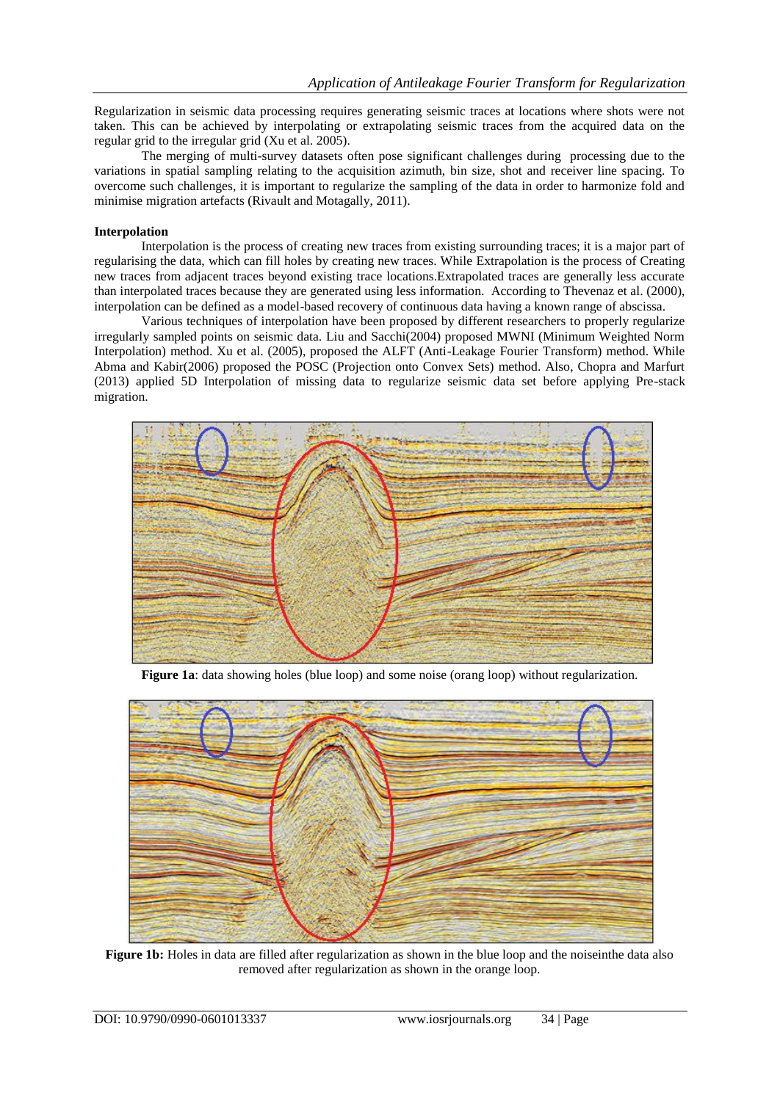Regularization in seismic data processing requires generating seismic traces at locations where shots were not taken. This can be achieved by interpolating or extrapolating seismic traces from the acquired data on the regular grid to the irregular grid (Xu et al. 2005).

The merging of multi-survey datasets often pose significant challenges during processing due to the variations in spatial sampling relating to the acquisition azimuth, bin size, shot and receiver line spacing. To overcome such challenges, it is important to regularize the sampling of the data in order to harmonize fold and minimise migration artefacts (Rivault and Motagally, 2011).

### **Interpolation**

Interpolation is the process of creating new traces from existing surrounding traces; it is a major part of regularising the data, which can fill holes by creating new traces. While Extrapolation is the process of Creating new traces from adjacent traces beyond existing trace locations.Extrapolated traces are generally less accurate than interpolated traces because they are generated using less information. According to Thevenaz et al. (2000), interpolation can be defined as a model-based recovery of continuous data having a known range of abscissa.

Various techniques of interpolation have been proposed by different researchers to properly regularize irregularly sampled points on seismic data. Liu and Sacchi(2004) proposed MWNI (Minimum Weighted Norm Interpolation) method. Xu et al. (2005), proposed the ALFT (Anti-Leakage Fourier Transform) method. While Abma and Kabir(2006) proposed the POSC (Projection onto Convex Sets) method. Also, Chopra and Marfurt (2013) applied 5D Interpolation of missing data to regularize seismic data set before applying Pre-stack migration.



**Figure 1a**: data showing holes (blue loop) and some noise (orang loop) without regularization.



**Figure 1b:** Holes in data are filled after regularization as shown in the blue loop and the noiseinthe data also removed after regularization as shown in the orange loop.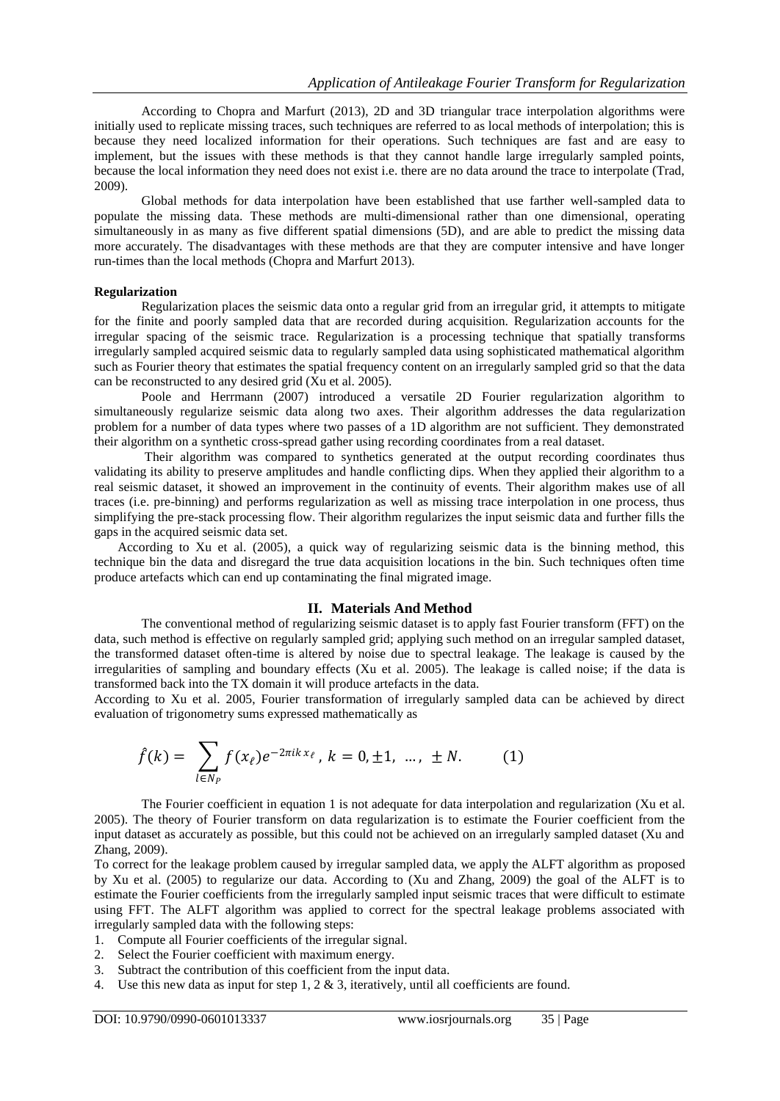According to Chopra and Marfurt (2013), 2D and 3D triangular trace interpolation algorithms were initially used to replicate missing traces, such techniques are referred to as local methods of interpolation; this is because they need localized information for their operations. Such techniques are fast and are easy to implement, but the issues with these methods is that they cannot handle large irregularly sampled points, because the local information they need does not exist i.e. there are no data around the trace to interpolate (Trad, 2009).

Global methods for data interpolation have been established that use farther well-sampled data to populate the missing data. These methods are multi-dimensional rather than one dimensional, operating simultaneously in as many as five different spatial dimensions (5D), and are able to predict the missing data more accurately. The disadvantages with these methods are that they are computer intensive and have longer run-times than the local methods (Chopra and Marfurt 2013).

#### **Regularization**

Regularization places the seismic data onto a regular grid from an irregular grid, it attempts to mitigate for the finite and poorly sampled data that are recorded during acquisition. Regularization accounts for the irregular spacing of the seismic trace. Regularization is a processing technique that spatially transforms irregularly sampled acquired seismic data to regularly sampled data using sophisticated mathematical algorithm such as Fourier theory that estimates the spatial frequency content on an irregularly sampled grid so that the data can be reconstructed to any desired grid (Xu et al. 2005).

Poole and Herrmann (2007) introduced a versatile 2D Fourier regularization algorithm to simultaneously regularize seismic data along two axes. Their algorithm addresses the data regularization problem for a number of data types where two passes of a 1D algorithm are not sufficient. They demonstrated their algorithm on a synthetic cross-spread gather using recording coordinates from a real dataset.

Their algorithm was compared to synthetics generated at the output recording coordinates thus validating its ability to preserve amplitudes and handle conflicting dips. When they applied their algorithm to a real seismic dataset, it showed an improvement in the continuity of events. Their algorithm makes use of all traces (i.e. pre-binning) and performs regularization as well as missing trace interpolation in one process, thus simplifying the pre-stack processing flow. Their algorithm regularizes the input seismic data and further fills the gaps in the acquired seismic data set.

According to Xu et al. (2005), a quick way of regularizing seismic data is the binning method, this technique bin the data and disregard the true data acquisition locations in the bin. Such techniques often time produce artefacts which can end up contaminating the final migrated image.

## **II. Materials And Method**

The conventional method of regularizing seismic dataset is to apply fast Fourier transform (FFT) on the data, such method is effective on regularly sampled grid; applying such method on an irregular sampled dataset, the transformed dataset often-time is altered by noise due to spectral leakage. The leakage is caused by the irregularities of sampling and boundary effects (Xu et al. 2005). The leakage is called noise; if the data is transformed back into the TX domain it will produce artefacts in the data.

According to Xu et al. 2005, Fourier transformation of irregularly sampled data can be achieved by direct evaluation of trigonometry sums expressed mathematically as

$$
\hat{f}(k) = \sum_{l \in N_p} f(x_{\ell}) e^{-2\pi i k x_{\ell}}, \, k = 0, \pm 1, \, \dots, \, \pm N. \tag{1}
$$

The Fourier coefficient in equation 1 is not adequate for data interpolation and regularization (Xu et al. 2005). The theory of Fourier transform on data regularization is to estimate the Fourier coefficient from the input dataset as accurately as possible, but this could not be achieved on an irregularly sampled dataset (Xu and Zhang, 2009).

To correct for the leakage problem caused by irregular sampled data, we apply the ALFT algorithm as proposed by Xu et al. (2005) to regularize our data. According to (Xu and Zhang, 2009) the goal of the ALFT is to estimate the Fourier coefficients from the irregularly sampled input seismic traces that were difficult to estimate using FFT. The ALFT algorithm was applied to correct for the spectral leakage problems associated with irregularly sampled data with the following steps:

- 1. Compute all Fourier coefficients of the irregular signal.
- 2. Select the Fourier coefficient with maximum energy.
- 3. Subtract the contribution of this coefficient from the input data.
- 4. Use this new data as input for step 1, 2 & 3, iteratively, until all coefficients are found.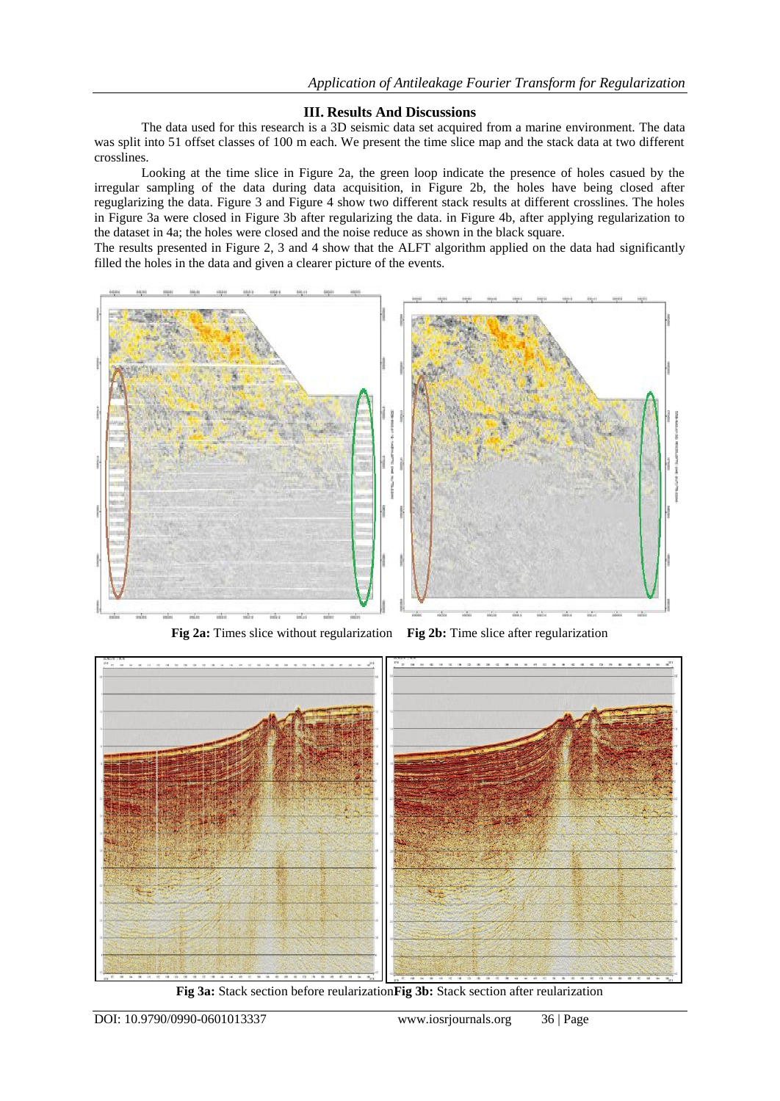## **III. Results And Discussions**

The data used for this research is a 3D seismic data set acquired from a marine environment. The data was split into 51 offset classes of 100 m each. We present the time slice map and the stack data at two different crosslines.

Looking at the time slice in Figure 2a, the green loop indicate the presence of holes casued by the irregular sampling of the data during data acquisition, in Figure 2b, the holes have being closed after reguglarizing the data. Figure 3 and Figure 4 show two different stack results at different crosslines. The holes in Figure 3a were closed in Figure 3b after regularizing the data. in Figure 4b, after applying regularization to the dataset in 4a; the holes were closed and the noise reduce as shown in the black square.

The results presented in Figure 2, 3 and 4 show that the ALFT algorithm applied on the data had significantly filled the holes in the data and given a clearer picture of the events.



**Fig 2a:** Times slice without regularization **Fig 2b:** Time slice after regularization



**Fig 3a:** Stack section before reularization**Fig 3b:** Stack section after reularization